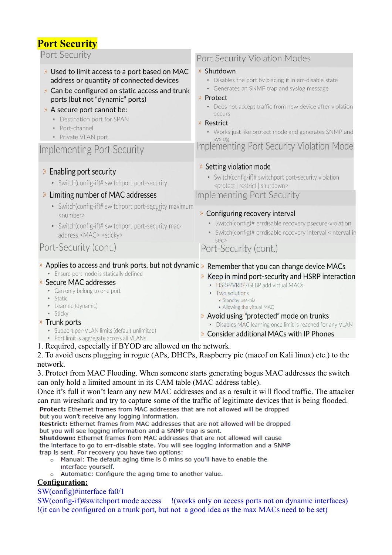## **Port Security**

Port Security

- >> Used to limit access to a port based on MAC address or quantity of connected devices
- >> Can be configured on static access and trunk ports (but not "dynamic" ports)
- > A secure port cannot be:
	- Destination port for SPAN
	- · Port-channel
	- Private VLAN port

## **Implementing Port Security**

### » Enabling port security

• Switch(config-if)# switchport port-security

### » Limiting number of MAC addresses

- Switch(config-if)# switchport port-security maximum <number>
- Switch(config-if)# switchport port-security macaddress <MAC> <sticky>

## Port-Security (cont.)

### Port Security Violation Modes

#### » Shutdown

- Disables the port by placing it in err-disable state
- Generates an SNMP trap and syslog message

#### » Protect

- Does not accept traffic from new device after violation OCCUITS
- » Restrict
	- Works just like protect mode and generates SNMP and syslog

## Implementing Port Security Violation Mode

#### >> Setting violation mode

• Switch(config-if)# switchport port-security violation <protect | restrict | shutdown>

### Implementing Port Security

#### » Configuring recovery interval

- Switch(config)# errdisable recovery psecure-violation
- · Switch(config)# errdisable recovery interval <interval in sec>

# Port-Security (cont.)

## » Applies to access and trunk ports, but not dynamic » Remember that you can change device MACs

**Ensure port mode is statically defined** 

#### » Secure MAC addresses

- Can only belong to one port
- · Static
- Learned (dynamic)
- · Sticky

#### » Trunk ports

- Support per-VLAN limits (default unlimited)
- Port limit is aggregate across all VLANs
- 1. Required, especially if BYOD are allowed on the network.

#### 2. To avoid users plugging in rogue (APs, DHCPs, Raspberry pie (macof on Kali linux) etc.) to the network.

3. Protect from MAC Flooding. When someone starts generating bogus MAC addresses the switch can only hold a limited amount in its CAM table (MAC address table).

Once it's full it won't learn any new MAC addresses and as a result it will flood traffic. The attacker can run wireshark and try to capture some of the traffic of legitimate devices that is being flooded.

Protect: Ethernet frames from MAC addresses that are not allowed will be dropped but you won't receive any logging information.

Restrict: Ethernet frames from MAC addresses that are not allowed will be dropped but you will see logging information and a SNMP trap is sent.

Shutdown: Ethernet frames from MAC addresses that are not allowed will cause the interface to go to err-disable state. You will see logging information and a SNMP trap is sent. For recovery you have two options:

- o Manual: The default aging time is 0 mins so you'll have to enable the interface yourself.
- $\circ$ Automatic: Configure the aging time to another value.

### **Configuration:**

#### $SW(config)$ #interface fa0/1

SW(config-if)#switchport mode access (works only on access ports not on dynamic interfaces) (it can be configured on a trunk port, but not a good idea as the max MACs need to be set)

- > Keep in mind port-security and HSRP interaction • HSRP/VRRP/GLBP add virtual MACs • Two solutions
	- · Standby use-bia
	- · Allowing the virtual MAC
- » Avoid using "protected" mode on trunks
	- · Disables MAC learning once limit is reached for any VLAN
- **>> Consider additional MACs with IP Phones**